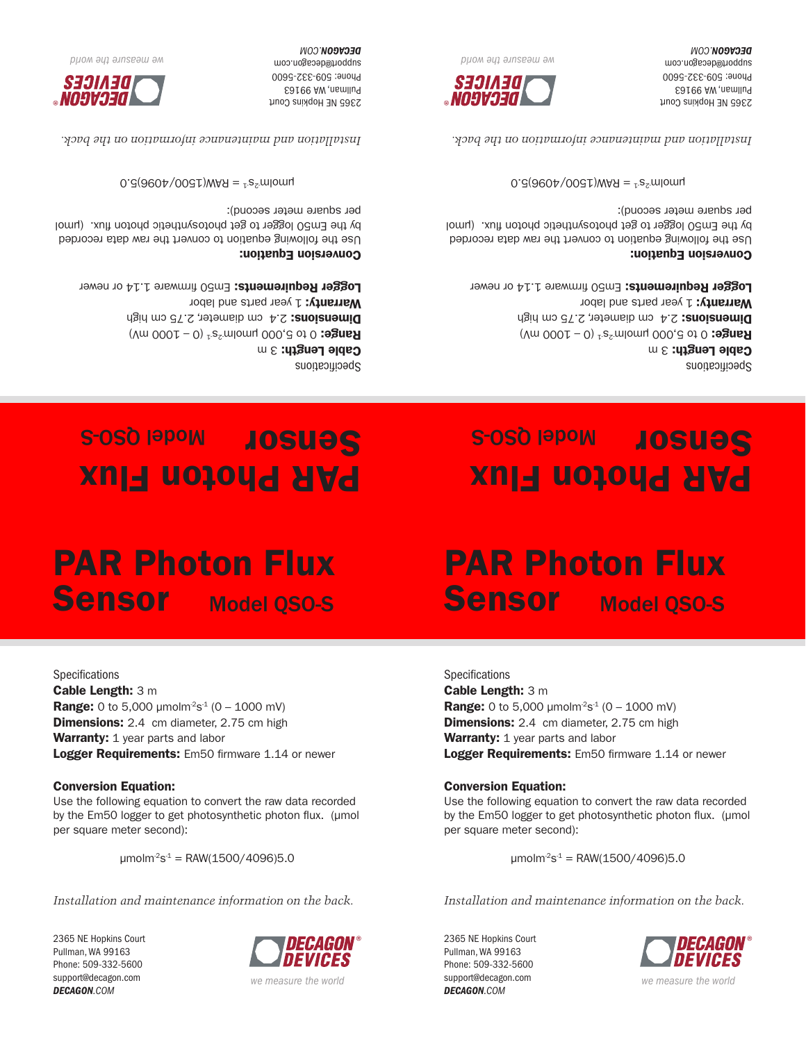2365 NE Hopkins Court Pullman, WA 99163 Phone: 509-332-5600 support@decagon.com *DECAGON.COM*

**Specifications** Cable Length: 3 m



®

*we measure the world*

2365 NE Hopkins Court Pullman, WA 99163 Phone: 509-332-5600 support@decagon.com *DECAGON.COM*

*Installation and maintenance information on the back.*

*we measure the world*

®

 $\mu$ molm<sup>-2</sup>s<sup>-1</sup> = RAW(1500/4096)5.0

by the Em50 logger to get photosynthetic photon flux. (µmol

per square meter second):

Logger Requirements: Em50 firmware 1.14 or newer Conversion Equation: Use the following equation to convert the raw data recorded

Cable Length: 3 m **Range:** 0 to 5,000  $\mu$ molm<sup>2</sup>s<sup>-1</sup> (0 – 1000 mV) **Dimensions:** 2.4 cm diameter, 2.75 cm high Warranty: 1 year parts and labor

PAR Photon Flux

Sensor Model QSO-S

Specifications

# PAR Photon Flux Sensor Model QSO-S

**Range:** 0 to 5,000  $\mu$ molm<sup>-2</sup>s<sup>-1</sup> (0 – 1000 mV) **Dimensions:** 2.4 cm diameter, 2.75 cm high

Logger Requirements: Em50 firmware 1.14 or newer

Use the following equation to convert the raw data recorded by the Em50 logger to get photosynthetic photon flux. (µmol

 $\mu$ molm<sup>-2</sup>s<sup>-1</sup> = RAW(1500/4096)5.0

*Installation and maintenance information on the back.*

Warranty: 1 year parts and labor

Conversion Equation:

per square meter second):

## PAR Photon Flux Sensor Model Gso-s

Specifications Cable Length:  $3 m$ **Range:** 0 to 5,000 µmolm<sup>2</sup>s<sup>1</sup> (0 – 1000 mV) Dimensions: 2.4 cm diameter, 2.75 cm high Warranty: 1 year parts and labor

Logger Requirements: Em50 firmware 1.14 or newer

## Conversion Equation:

2365 NE Hopkins Court Pullman, WA 99163 Phone: 509-332-5600 support@decagon.com **DECAGON.COM** 

Use the following equation to convert the raw data recorded by the Em50 logger to get photosynthetic photon flux. (µmol per square meter second):

 $0.960P/009I$ ) MVH =  $5.5$  moment

*Installation and maintenance information on the back.*



*DIIOM ƏYI ƏJNSEƏW ƏM* 

Specifications  $\mathbf{u} \in \mathbb{R}$  caple  $\mathsf{I}$  and  $\mathsf{I}$ **Range:** 0 to 5,000 µmolm<sup>2</sup>s<sup>1</sup> (0 – 1000 mV)

Dimensions: 2.4 cm diameter, 2.75 cm high Warranty: 1 year parts and labor Logger Requirements: Em50 firmware 1.14 or newer

PAR Photon Flux

Sensor Model Gso-s

Conversion Equation:

Use the following equation to convert the raw data recorded by the Em50 logger to get photosynthetic photon flux. (µmol per square meter second):

 $0.960P/009I$  MVH =  $1.5Z$  momul

*Installation and maintenance information on the back.*



*DIIOM ƏYL ƏJINSEƏW ƏM* 

2365 NE Hopkins Court Pullman, WA 99163 Phone: 509-332-5600 support@decagon.com **DECAGON.COM**